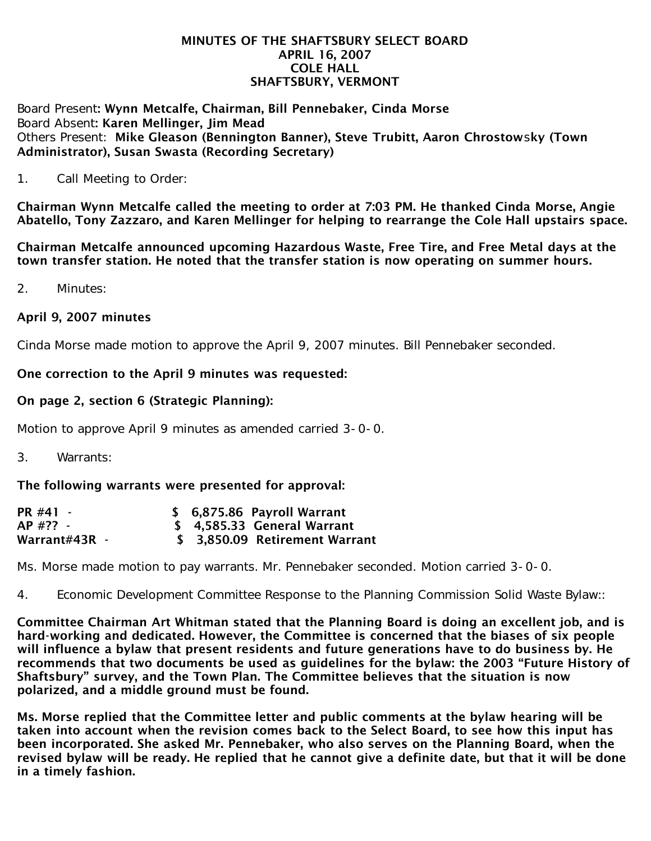#### MINUTES OF THE SHAFTSBURY SELECT BOARD APRIL 16, 2007 COLE HALL SHAFTSBURY, VERMONT

Board Present: Wynn Metcalfe, Chairman, Bill Pennebaker, Cinda Morse Board Absent: Karen Mellinger, Jim Mead Others Present: Mike Gleason (Bennington Banner), Steve Trubitt, Aaron Chrostowsky (Town Administrator), Susan Swasta (Recording Secretary)

1. Call Meeting to Order:

Chairman Wynn Metcalfe called the meeting to order at 7:03 PM. He thanked Cinda Morse, Angie Abatello, Tony Zazzaro, and Karen Mellinger for helping to rearrange the Cole Hall upstairs space.

Chairman Metcalfe announced upcoming Hazardous Waste, Free Tire, and Free Metal days at the town transfer station. He noted that the transfer station is now operating on summer hours.

2. Minutes:

### April 9, 2007 minutes

Cinda Morse made motion to approve the April 9, 2007 minutes. Bill Pennebaker seconded.

### One correction to the April 9 minutes was requested:

## On page 2, section 6 (Strategic Planning):

Motion to approve April 9 minutes as amended carried 3-0-0.

3. Warrants:

### The following warrants were presented for approval:

| PR #41 -      |  | \$ 6,875.86 Payroll Warrant    |
|---------------|--|--------------------------------|
| AP #?? -      |  | \$ 4,585.33 General Warrant    |
| Warrant#43R - |  | \$ 3.850.09 Retirement Warrant |

Ms. Morse made motion to pay warrants. Mr. Pennebaker seconded. Motion carried 3-0-0.

4. Economic Development Committee Response to the Planning Commission Solid Waste Bylaw::

Committee Chairman Art Whitman stated that the Planning Board is doing an excellent job, and is hard-working and dedicated. However, the Committee is concerned that the biases of six people will influence a bylaw that present residents and future generations have to do business by. He recommends that two documents be used as guidelines for the bylaw: the 2003 "Future History of Shaftsbury" survey, and the Town Plan. The Committee believes that the situation is now polarized, and a middle ground must be found.

Ms. Morse replied that the Committee letter and public comments at the bylaw hearing will be taken into account when the revision comes back to the Select Board, to see how this input has been incorporated. She asked Mr. Pennebaker, who also serves on the Planning Board, when the revised bylaw will be ready. He replied that he cannot give a definite date, but that it will be done in a timely fashion.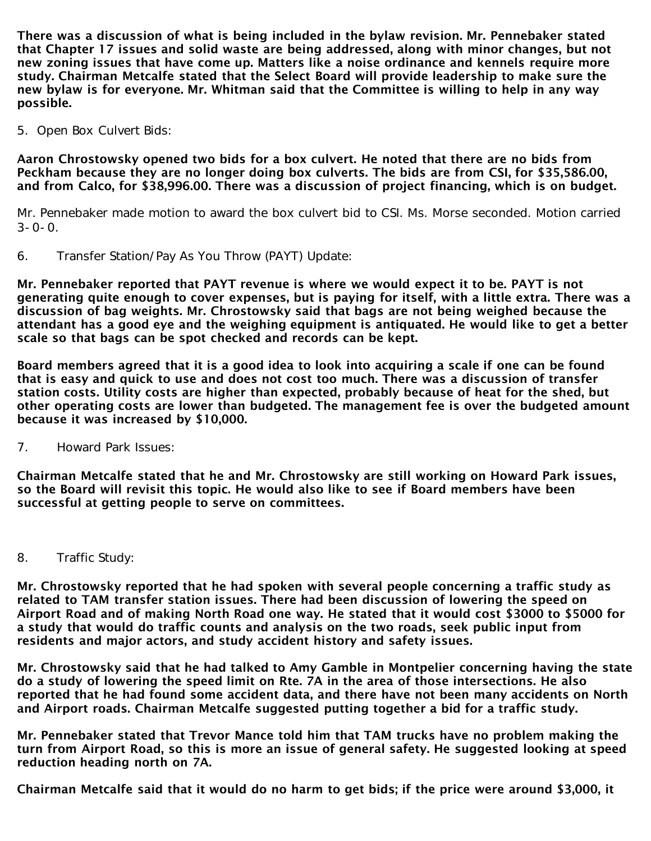There was a discussion of what is being included in the bylaw revision. Mr. Pennebaker stated that Chapter 17 issues and solid waste are being addressed, along with minor changes, but not new zoning issues that have come up. Matters like a noise ordinance and kennels require more study. Chairman Metcalfe stated that the Select Board will provide leadership to make sure the new bylaw is for everyone. Mr. Whitman said that the Committee is willing to help in any way possible.

5. Open Box Culvert Bids:

Aaron Chrostowsky opened two bids for a box culvert. He noted that there are no bids from Peckham because they are no longer doing box culverts. The bids are from CSI, for \$35,586.00, and from Calco, for \$38,996.00. There was a discussion of project financing, which is on budget.

Mr. Pennebaker made motion to award the box culvert bid to CSI. Ms. Morse seconded. Motion carried  $3 - 0 - 0$ .

6. Transfer Station/Pay As You Throw (PAYT) Update:

Mr. Pennebaker reported that PAYT revenue is where we would expect it to be. PAYT is not generating quite enough to cover expenses, but is paying for itself, with a little extra. There was a discussion of bag weights. Mr. Chrostowsky said that bags are not being weighed because the attendant has a good eye and the weighing equipment is antiquated. He would like to get a better scale so that bags can be spot checked and records can be kept.

Board members agreed that it is a good idea to look into acquiring a scale if one can be found that is easy and quick to use and does not cost too much. There was a discussion of transfer station costs. Utility costs are higher than expected, probably because of heat for the shed, but other operating costs are lower than budgeted. The management fee is over the budgeted amount because it was increased by \$10,000.

7. Howard Park Issues:

Chairman Metcalfe stated that he and Mr. Chrostowsky are still working on Howard Park issues, so the Board will revisit this topic. He would also like to see if Board members have been successful at getting people to serve on committees.

8. Traffic Study:

Mr. Chrostowsky reported that he had spoken with several people concerning a traffic study as related to TAM transfer station issues. There had been discussion of lowering the speed on Airport Road and of making North Road one way. He stated that it would cost \$3000 to \$5000 for a study that would do traffic counts and analysis on the two roads, seek public input from residents and major actors, and study accident history and safety issues.

Mr. Chrostowsky said that he had talked to Amy Gamble in Montpelier concerning having the state do a study of lowering the speed limit on Rte. 7A in the area of those intersections. He also reported that he had found some accident data, and there have not been many accidents on North and Airport roads. Chairman Metcalfe suggested putting together a bid for a traffic study.

Mr. Pennebaker stated that Trevor Mance told him that TAM trucks have no problem making the turn from Airport Road, so this is more an issue of general safety. He suggested looking at speed reduction heading north on 7A.

Chairman Metcalfe said that it would do no harm to get bids; if the price were around \$3,000, it